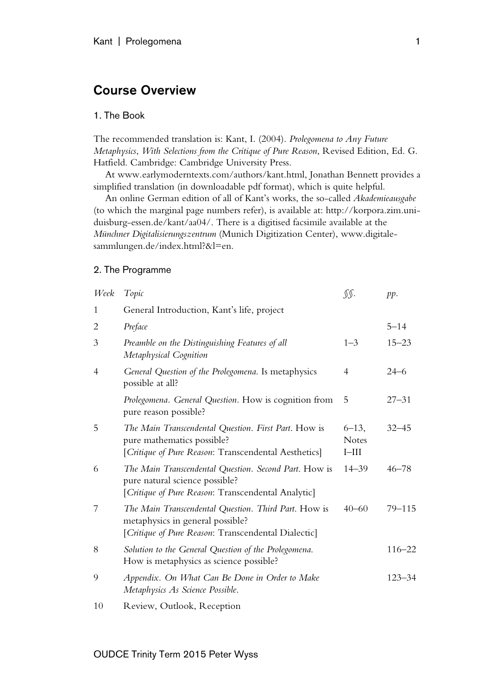# Course Overview

## 1. The Book

The recommended translation is: Kant, I. (2004). *Prolegomena to Any Future Metaphysics*, *With Selections from the Critique of Pure Reason*, Revised Edition, Ed. G. Hatfield. Cambridge: Cambridge University Press.

At www.earlymoderntexts.com/authors/kant.html, Jonathan Bennett provides a simplified translation (in downloadable pdf format), which is quite helpful.

An online German edition of all of Kant's works, the so-called *Akademieausgabe* (to which the marginal page numbers refer), is available at: http://korpora.zim.uniduisburg-essen.de/kant/aa04/. There is a digitised facsimile available at the *Münchner Digitalisierungszentrum* (Munich Digitization Center), www.digitalesammlungen.de/index.html?&l=en.

## 2. The Programme

| Week           | Topic                                                                                                                                           | SS.                                    | pp.        |
|----------------|-------------------------------------------------------------------------------------------------------------------------------------------------|----------------------------------------|------------|
| 1              | General Introduction, Kant's life, project                                                                                                      |                                        |            |
| 2              | Preface                                                                                                                                         |                                        | $5 - 14$   |
| 3              | Preamble on the Distinguishing Features of all<br>Metaphysical Cognition                                                                        | $1 - 3$                                | $15 - 23$  |
| 4              | General Question of the Prolegomena. Is metaphysics<br>possible at all?                                                                         | 4                                      | $24 - 6$   |
|                | Prolegomena. General Question. How is cognition from<br>pure reason possible?                                                                   | 5                                      | $27 - 31$  |
| 5              | The Main Transcendental Question. First Part. How is<br>pure mathematics possible?<br>[Critique of Pure Reason: Transcendental Aesthetics]      | $6 - 13$ ,<br><b>Notes</b><br>$I$ -III | $32 - 45$  |
| 6              | The Main Transcendental Question. Second Part. How is<br>pure natural science possible?<br>[Critique of Pure Reason: Transcendental Analytic]   | $14 - 39$                              | $46 - 78$  |
| 7              | The Main Transcendental Question. Third Part. How is<br>metaphysics in general possible?<br>[Critique of Pure Reason: Transcendental Dialectic] | $40 - 60$                              | $79 - 115$ |
| 8              | Solution to the General Question of the Prolegomena.<br>How is metaphysics as science possible?                                                 |                                        | $116 - 22$ |
| 9              | Appendix. On What Can Be Done in Order to Make<br>Metaphysics As Science Possible.                                                              |                                        | $123 - 34$ |
| 1 <sub>0</sub> | Doviau Outlook Deception                                                                                                                        |                                        |            |